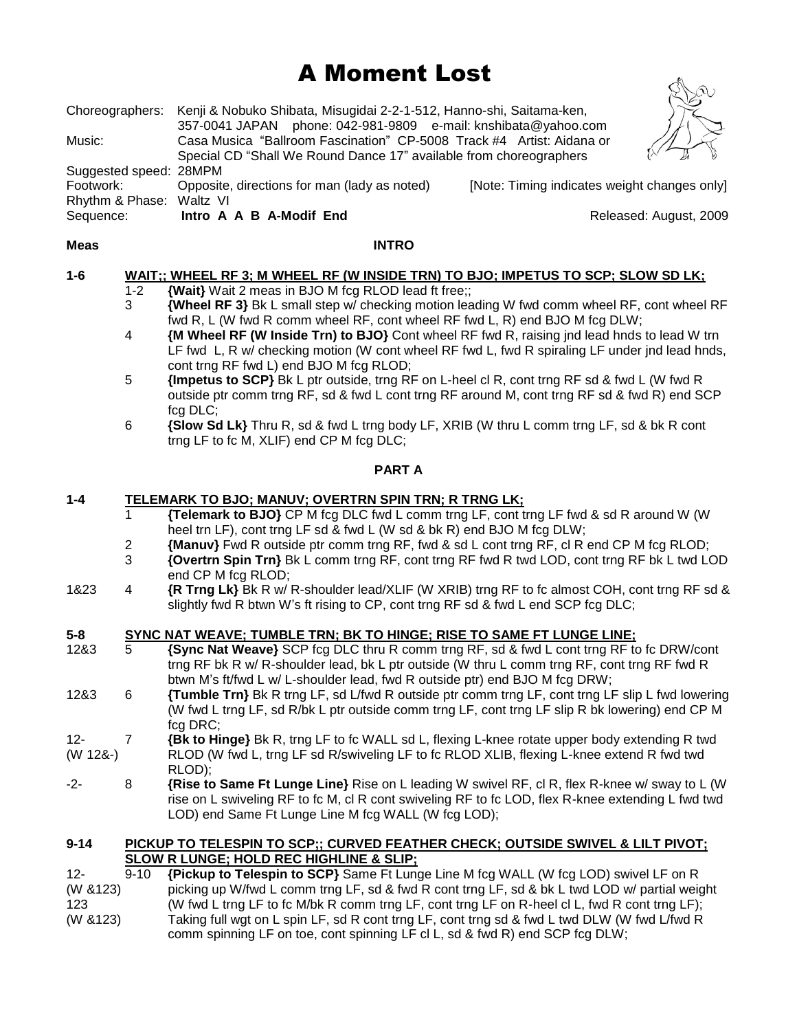# A Moment Lost

| Sequence:              | Intro A A B A-Modif End                                                              |                                              | Released: August, 2009 |
|------------------------|--------------------------------------------------------------------------------------|----------------------------------------------|------------------------|
| Rhythm & Phase:        | Waltz VI                                                                             |                                              |                        |
| Footwork:              | Opposite, directions for man (lady as noted)                                         | [Note: Timing indicates weight changes only] |                        |
| Suggested speed: 28MPM |                                                                                      |                                              |                        |
|                        | Special CD "Shall We Round Dance 17" available from choreographers                   |                                              |                        |
| Music:                 | Casa Musica "Ballroom Fascination" CP-5008 Track #4 Artist: Aidana or                |                                              |                        |
|                        | 357-0041 JAPAN phone: 042-981-9809 e-mail: knshibata@yahoo.com                       |                                              |                        |
|                        | Choreographers: Kenji & Nobuko Shibata, Misugidai 2-2-1-512, Hanno-shi, Saitama-ken, |                                              |                        |

#### **Meas INTRO**

# **1-6 WAIT;; WHEEL RF 3; M WHEEL RF (W INSIDE TRN) TO BJO; IMPETUS TO SCP; SLOW SD LK;**

- 1-2 **{Wait}** Wait 2 meas in BJO M fcg RLOD lead ft free;;
- 3 **{Wheel RF 3}** Bk L small step w/ checking motion leading W fwd comm wheel RF, cont wheel RF fwd R, L (W fwd R comm wheel RF, cont wheel RF fwd L, R) end BJO M fcg DLW;
- 4 **{M Wheel RF (W Inside Trn) to BJO}** Cont wheel RF fwd R, raising jnd lead hnds to lead W trn LF fwd L, R w/ checking motion (W cont wheel RF fwd L, fwd R spiraling LF under jnd lead hnds, cont trng RF fwd L) end BJO M fcg RLOD;
- 5 **{Impetus to SCP}** Bk L ptr outside, trng RF on L-heel cl R, cont trng RF sd & fwd L (W fwd R outside ptr comm trng RF, sd & fwd L cont trng RF around M, cont trng RF sd & fwd R) end SCP fcg DLC;
- 6 **{Slow Sd Lk}** Thru R, sd & fwd L trng body LF, XRIB (W thru L comm trng LF, sd & bk R cont trng LF to fc M, XLIF) end CP M fcg DLC;

# **PART A**

# **1-4 TELEMARK TO BJO; MANUV; OVERTRN SPIN TRN; R TRNG LK;**

- 1 **{Telemark to BJO}** CP M fcg DLC fwd L comm trng LF, cont trng LF fwd & sd R around W (W heel trn LF), cont trng LF sd & fwd L (W sd & bk R) end BJO M fcg DLW;
- 2 **{Manuv}** Fwd R outside ptr comm trng RF, fwd & sd L cont trng RF, cl R end CP M fcg RLOD;
- 3 **{Overtrn Spin Trn}** Bk L comm trng RF, cont trng RF fwd R twd LOD, cont trng RF bk L twd LOD end CP M fcg RLOD;
- 1&23 4 **{R Trng Lk}** Bk R w/ R-shoulder lead/XLIF (W XRIB) trng RF to fc almost COH, cont trng RF sd & slightly fwd R btwn W's ft rising to CP, cont trng RF sd & fwd L end SCP fcg DLC;

# **5-8 SYNC NAT WEAVE; TUMBLE TRN; BK TO HINGE; RISE TO SAME FT LUNGE LINE;**

- 12&3 5 **{Sync Nat Weave}** SCP fcg DLC thru R comm trng RF, sd & fwd L cont trng RF to fc DRW/cont trng RF bk R w/ R-shoulder lead, bk L ptr outside (W thru L comm trng RF, cont trng RF fwd R btwn M's ft/fwd L w/ L-shoulder lead, fwd R outside ptr) end BJO M fcg DRW;
- 12&3 6 **{Tumble Trn}** Bk R trng LF, sd L/fwd R outside ptr comm trng LF, cont trng LF slip L fwd lowering (W fwd L trng LF, sd R/bk L ptr outside comm trng LF, cont trng LF slip R bk lowering) end CP M fcg DRC;
- 12- 7 **{Bk to Hinge}** Bk R, trng LF to fc WALL sd L, flexing L-knee rotate upper body extending R twd (W 12&-) RLOD (W fwd L, trng LF sd R/swiveling LF to fc RLOD XLIB, flexing L-knee extend R fwd twd RLOD);
- -2- 8 **{Rise to Same Ft Lunge Line}** Rise on L leading W swivel RF, cl R, flex R-knee w/ sway to L (W rise on L swiveling RF to fc M, cl R cont swiveling RF to fc LOD, flex R-knee extending L fwd twd LOD) end Same Ft Lunge Line M fcg WALL (W fcg LOD);

#### **9-14 PICKUP TO TELESPIN TO SCP;; CURVED FEATHER CHECK; OUTSIDE SWIVEL & LILT PIVOT; SLOW R LUNGE; HOLD REC HIGHLINE & SLIP;**

12- 9-10 **{Pickup to Telespin to SCP}** Same Ft Lunge Line M fcg WALL (W fcg LOD) swivel LF on R (W &123) picking up W/fwd L comm trng LF, sd & fwd R cont trng LF, sd & bk L twd LOD w/ partial weight 123 (W fwd L trng LF to fc M/bk R comm trng LF, cont trng LF on R-heel cl L, fwd R cont trng LF); (W &123) Taking full wgt on L spin LF, sd R cont trng LF, cont trng sd & fwd L twd DLW (W fwd L/fwd R comm spinning LF on toe, cont spinning LF cl L, sd & fwd R) end SCP fcg DLW;

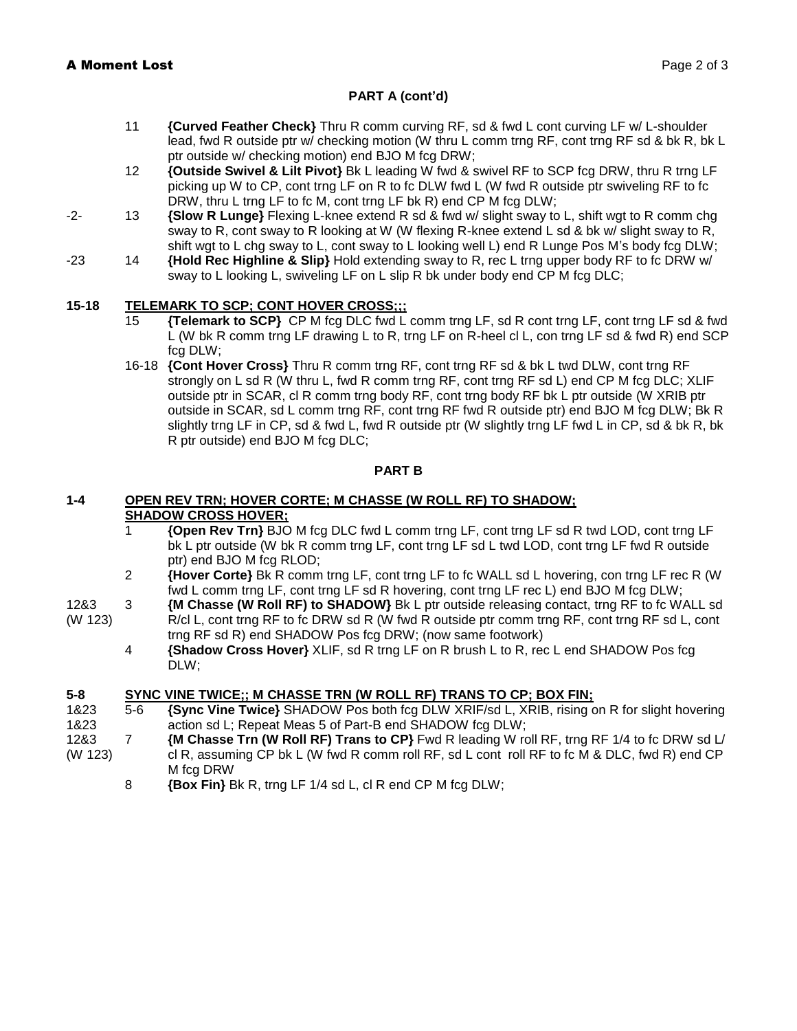# **PART A (cont'd)**

- 11 **{Curved Feather Check}** Thru R comm curving RF, sd & fwd L cont curving LF w/ L-shoulder lead, fwd R outside ptr w/ checking motion (W thru L comm trng RF, cont trng RF sd & bk R, bk L ptr outside w/ checking motion) end BJO M fcg DRW;
- 12 **{Outside Swivel & Lilt Pivot}** Bk L leading W fwd & swivel RF to SCP fcg DRW, thru R trng LF picking up W to CP, cont trng LF on R to fc DLW fwd L (W fwd R outside ptr swiveling RF to fc DRW, thru L trng LF to fc M, cont trng LF bk R) end CP M fcg DLW;
- -2- 13 **{Slow R Lunge}** Flexing L-knee extend R sd & fwd w/ slight sway to L, shift wgt to R comm chg sway to R, cont sway to R looking at W (W flexing R-knee extend L sd & bk w/ slight sway to R, shift wgt to L chg sway to L, cont sway to L looking well L) end R Lunge Pos M's body fcg DLW;
- -23 14 **{Hold Rec Highline & Slip}** Hold extending sway to R, rec L trng upper body RF to fc DRW w/ sway to L looking L, swiveling LF on L slip R bk under body end CP M fcg DLC;

# **15-18 TELEMARK TO SCP; CONT HOVER CROSS;;;**

- 15 **{Telemark to SCP}** CP M fcg DLC fwd L comm trng LF, sd R cont trng LF, cont trng LF sd & fwd L (W bk R comm trng LF drawing L to R, trng LF on R-heel cl L, con trng LF sd & fwd R) end SCP fcg DLW;
- 16-18 **{Cont Hover Cross}** Thru R comm trng RF, cont trng RF sd & bk L twd DLW, cont trng RF strongly on L sd R (W thru L, fwd R comm trng RF, cont trng RF sd L) end CP M fcg DLC; XLIF outside ptr in SCAR, cl R comm trng body RF, cont trng body RF bk L ptr outside (W XRIB ptr outside in SCAR, sd L comm trng RF, cont trng RF fwd R outside ptr) end BJO M fcg DLW; Bk R slightly trng LF in CP, sd & fwd L, fwd R outside ptr (W slightly trng LF fwd L in CP, sd & bk R, bk R ptr outside) end BJO M fcg DLC;

#### **PART B**

#### **1-4 OPEN REV TRN; HOVER CORTE; M CHASSE (W ROLL RF) TO SHADOW; SHADOW CROSS HOVER;**

- 1 **{Open Rev Trn}** BJO M fcg DLC fwd L comm trng LF, cont trng LF sd R twd LOD, cont trng LF bk L ptr outside (W bk R comm trng LF, cont trng LF sd L twd LOD, cont trng LF fwd R outside ptr) end BJO M fcg RLOD;
- 2 **{Hover Corte}** Bk R comm trng LF, cont trng LF to fc WALL sd L hovering, con trng LF rec R (W fwd L comm trng LF, cont trng LF sd R hovering, cont trng LF rec L) end BJO M fcg DLW;
- 12&3 3 **{M Chasse (W Roll RF) to SHADOW}** Bk L ptr outside releasing contact, trng RF to fc WALL sd (W 123) R/cl L, cont trng RF to fc DRW sd R (W fwd R outside ptr comm trng RF, cont trng RF sd L, cont trng RF sd R) end SHADOW Pos fcg DRW; (now same footwork)
	- 4 **{Shadow Cross Hover}** XLIF, sd R trng LF on R brush L to R, rec L end SHADOW Pos fcg DLW;

# **5-8 SYNC VINE TWICE;; M CHASSE TRN (W ROLL RF) TRANS TO CP; BOX FIN;**

- 1&23 5-6 **{Sync Vine Twice}** SHADOW Pos both fcg DLW XRIF/sd L, XRIB, rising on R for slight hovering 1&23 **action sd L**; Repeat Meas 5 of Part-B end SHADOW fcg DLW;
- 12&3 7 **{M Chasse Trn (W Roll RF) Trans to CP}** Fwd R leading W roll RF, trng RF 1/4 to fc DRW sd L/ (W 123) cl R, assuming CP bk L (W fwd R comm roll RF, sd L cont roll RF to fc M & DLC, fwd R) end CP M fcg DRW
	- 8 **{Box Fin}** Bk R, trng LF 1/4 sd L, cl R end CP M fcg DLW;